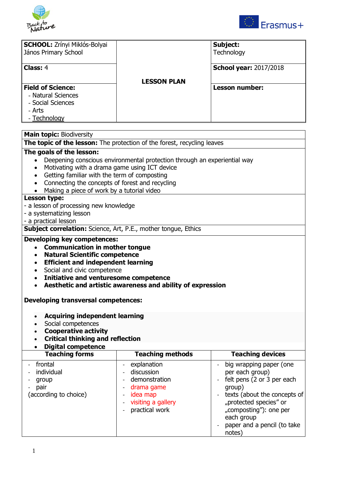



|                    | Subject:<br>Technology        |
|--------------------|-------------------------------|
|                    | <b>School year: 2017/2018</b> |
| <b>LESSON PLAN</b> | <b>Lesson number:</b>         |
|                    |                               |
|                    |                               |
|                    |                               |

# **Main topic:** Biodiversity

**The topic of the lesson:** The protection of the forest, recycling leaves

# **The goals of the lesson:**

- Deepening conscious environmental protection through an experiential way
- Motivating with a drama game using ICT device
- Getting familiar with the term of composting
- Connecting the concepts of forest and recycling
- Making a piece of work by a tutorial video

## **Lesson type:**

- a lesson of processing new knowledge
- a systematizing lesson
- a practical lesson

**Subject correlation:** Science, Art, P.E., mother tongue, Ethics

#### **Developing key competences:**

- **Communication in mother tongue**
- **Natural Scientific competence**
- **Efficient and independent learning**
- Social and civic competence
- **Initiative and venturesome competence**
- **Aesthetic and artistic awareness and ability of expression**

#### **Developing transversal competences:**

- **Acquiring independent learning**
- Social competences
- **Cooperative activity**
- **Critical thinking and reflection**
- **Digital competence**

| <b>Teaching forms</b>                                             | <b>Teaching methods</b>                                                                                                                                                                                                              | <b>Teaching devices</b>                                                                                                                                                                                                                                                                         |
|-------------------------------------------------------------------|--------------------------------------------------------------------------------------------------------------------------------------------------------------------------------------------------------------------------------------|-------------------------------------------------------------------------------------------------------------------------------------------------------------------------------------------------------------------------------------------------------------------------------------------------|
| - frontal<br>individual<br>group<br>pair<br>(according to choice) | explanation<br>discussion<br>$\overline{\phantom{0}}$<br>demonstration<br>$\overline{\phantom{a}}$<br>drama game<br>idea map<br>$\qquad \qquad \blacksquare$<br>visiting a gallery<br>practical work<br>$\qquad \qquad \blacksquare$ | big wrapping paper (one<br>per each group)<br>felt pens (2 or 3 per each<br>$\sim$<br>group)<br>texts (about the concepts of<br>$\overline{\phantom{a}}$<br>"protected species" or<br>"composting"): one per<br>each group<br>paper and a pencil (to take<br>$\overline{\phantom{a}}$<br>notes) |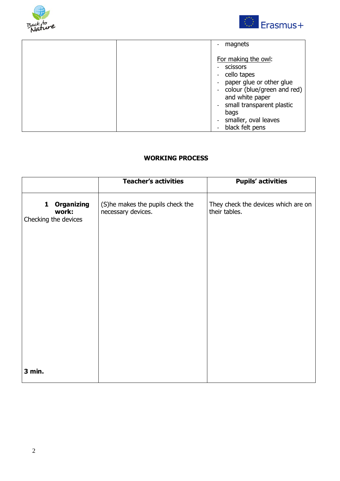



| magnets                                                                                                                                                                                                        |
|----------------------------------------------------------------------------------------------------------------------------------------------------------------------------------------------------------------|
| For making the owl:<br>scissors<br>cello tapes<br>paper glue or other glue<br>- colour (blue/green and red)<br>and white paper<br>small transparent plastic<br>bags<br>smaller, oval leaves<br>black felt pens |

# **WORKING PROCESS**

|                                                         | <b>Teacher's activities</b>                            | <b>Pupils' activities</b>                            |
|---------------------------------------------------------|--------------------------------------------------------|------------------------------------------------------|
| <b>Organizing</b><br>1<br>work:<br>Checking the devices | (S)he makes the pupils check the<br>necessary devices. | They check the devices which are on<br>their tables. |
| 3 min.                                                  |                                                        |                                                      |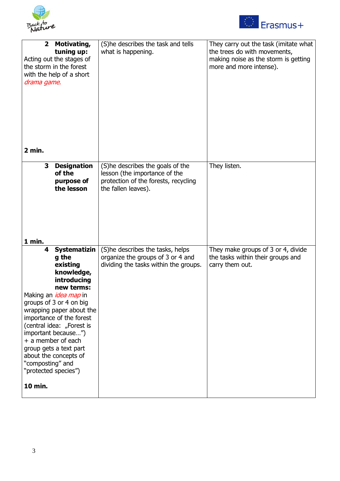



| $\overline{\mathbf{2}}$<br>the storm in the forest<br>drama game.<br>2 min.                                                                                                                                                   | Motivating,<br>tuning up:<br>Acting out the stages of<br>with the help of a short                                                                                        | (S)he describes the task and tells<br>what is happening.                                                                         | They carry out the task (imitate what<br>the trees do with movements,<br>making noise as the storm is getting<br>more and more intense). |
|-------------------------------------------------------------------------------------------------------------------------------------------------------------------------------------------------------------------------------|--------------------------------------------------------------------------------------------------------------------------------------------------------------------------|----------------------------------------------------------------------------------------------------------------------------------|------------------------------------------------------------------------------------------------------------------------------------------|
| 3                                                                                                                                                                                                                             | <b>Designation</b><br>of the<br>purpose of<br>the lesson                                                                                                                 | (S)he describes the goals of the<br>lesson (the importance of the<br>protection of the forests, recycling<br>the fallen leaves). | They listen.                                                                                                                             |
| 1 min.<br>4<br>Making an <i>idea map</i> in<br>groups of 3 or 4 on big<br>important because")<br>+ a member of each<br>group gets a text part<br>about the concepts of<br>"composting" and<br>"protected species")<br>10 min. | <b>Systematizin</b><br>g the<br>existing<br>knowledge,<br>introducing<br>new terms:<br>wrapping paper about the<br>importance of the forest<br>(central idea: "Forest is | (S)he describes the tasks, helps<br>organize the groups of 3 or 4 and<br>dividing the tasks within the groups.                   | They make groups of 3 or 4, divide<br>the tasks within their groups and<br>carry them out.                                               |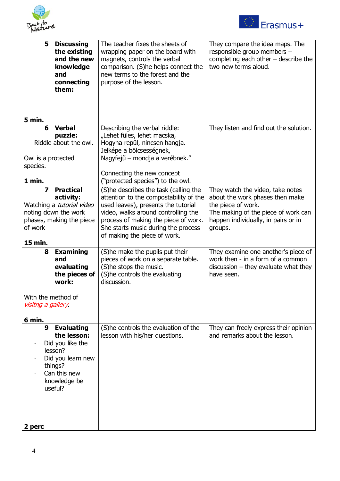



| 5                                        | <b>Discussing</b><br>the existing<br>and the new<br>knowledge<br>and<br>connecting<br>them:                                                | The teacher fixes the sheets of<br>wrapping paper on the board with<br>magnets, controls the verbal<br>comparison. (S)he helps connect the<br>new terms to the forest and the<br>purpose of the lesson.                                                                      | They compare the idea maps. The<br>responsible group members -<br>completing each other $-$ describe the<br>two new terms aloud.                                                   |
|------------------------------------------|--------------------------------------------------------------------------------------------------------------------------------------------|------------------------------------------------------------------------------------------------------------------------------------------------------------------------------------------------------------------------------------------------------------------------------|------------------------------------------------------------------------------------------------------------------------------------------------------------------------------------|
| 5 min.                                   |                                                                                                                                            |                                                                                                                                                                                                                                                                              |                                                                                                                                                                                    |
| 6<br>Owl is a protected<br>species.      | <b>Verbal</b><br>puzzle:<br>Riddle about the owl.                                                                                          | Describing the verbal riddle:<br>"Lehet füles, lehet macska,<br>Hogyha repül, nincsen hangja.<br>Jelképe a bölcsességnek,<br>Nagyfejű – mondja a verébnek."                                                                                                                  | They listen and find out the solution.                                                                                                                                             |
|                                          |                                                                                                                                            | Connecting the new concept                                                                                                                                                                                                                                                   |                                                                                                                                                                                    |
| 1 min.                                   |                                                                                                                                            | ("protected species") to the owl.                                                                                                                                                                                                                                            |                                                                                                                                                                                    |
| 7<br>of work<br>15 min.                  | <b>Practical</b><br>activity:<br>Watching a tutorial video<br>noting down the work<br>phases, making the piece                             | (S)he describes the task (calling the<br>attention to the compostability of the<br>used leaves), presents the tutorial<br>video, walks around controlling the<br>process of making the piece of work.<br>She starts music during the process<br>of making the piece of work. | They watch the video, take notes<br>about the work phases then make<br>the piece of work.<br>The making of the piece of work can<br>happen individually, in pairs or in<br>groups. |
|                                          |                                                                                                                                            |                                                                                                                                                                                                                                                                              |                                                                                                                                                                                    |
| 8                                        | <b>Examining</b><br>and<br>evaluating<br>the pieces of<br>work:                                                                            | (S) he make the pupils put their<br>pieces of work on a separate table.<br>(S)he stops the music.<br>(S)he controls the evaluating<br>discussion.                                                                                                                            | They examine one another's piece of<br>work then - in a form of a common<br>$discussion - they evaluate what they$<br>have seen.                                                   |
| With the method of<br>visitng a gallery. |                                                                                                                                            |                                                                                                                                                                                                                                                                              |                                                                                                                                                                                    |
| 6 min.<br>9                              | <b>Evaluating</b><br>the lesson:<br>Did you like the<br>lesson?<br>Did you learn new<br>things?<br>Can this new<br>knowledge be<br>useful? | (S)he controls the evaluation of the<br>lesson with his/her questions.                                                                                                                                                                                                       | They can freely express their opinion<br>and remarks about the lesson.                                                                                                             |
| 2 perc                                   |                                                                                                                                            |                                                                                                                                                                                                                                                                              |                                                                                                                                                                                    |